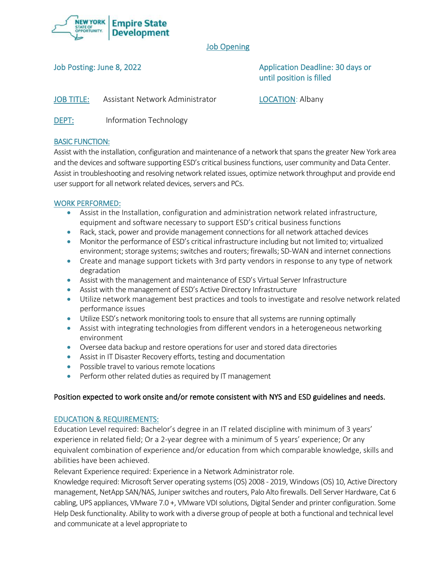

# Job Opening

Job Posting: June 8, 2022 **Application Deadline: 30 days or** Application Deadline: 30 days or until position is filled

JOB TITLE: Assistant Network Administrator LOCATION: Albany

DEPT: Information Technology

# BASIC FUNCTION:

Assist with the installation, configuration and maintenance of a network that spans the greater New York area and the devices and software supporting ESD's critical business functions, user community and Data Center. Assist in troubleshooting and resolving network related issues, optimize network throughput and provide end user support for all network related devices, servers and PCs.

### WORK PERFORMED:

- Assist in the Installation, configuration and administration network related infrastructure, equipment and software necessary to support ESD's critical business functions
- Rack, stack, power and provide management connections for all network attached devices
- Monitor the performance of ESD's critical infrastructure including but not limited to; virtualized environment; storage systems; switches and routers; firewalls; SD-WAN and internet connections
- Create and manage support tickets with 3rd party vendors in response to any type of network degradation
- Assist with the management and maintenance of ESD's Virtual Server Infrastructure
- Assist with the management of ESD's Active Directory Infrastructure
- Utilize network management best practices and tools to investigate and resolve network related performance issues
- Utilize ESD's network monitoring tools to ensure that all systems are running optimally
- Assist with integrating technologies from different vendors in a heterogeneous networking environment
- Oversee data backup and restore operations for user and stored data directories
- Assist in IT Disaster Recovery efforts, testing and documentation
- Possible travel to various remote locations
- Perform other related duties as required by IT management

### Position expected to work onsite and/or remote consistent with NYS and ESD guidelines and needs.

### EDUCATION & REQUIREMENTS:

Education Level required: Bachelor's degree in an IT related discipline with minimum of 3 years' experience in related field; Or a 2-year degree with a minimum of 5 years' experience; Or any equivalent combination of experience and/or education from which comparable knowledge, skills and abilities have been achieved.

Relevant Experience required: Experience in a Network Administrator role.

Knowledge required: Microsoft Server operating systems (OS) 2008 - 2019, Windows (OS) 10, Active Directory management, NetApp SAN/NAS, Juniper switches and routers, Palo Alto firewalls. Dell Server Hardware, Cat 6 cabling, UPS appliances, VMware 7.0 +, VMware VDI solutions, Digital Sender and printer configuration. Some Help Desk functionality. Ability to work with a diverse group of people at both a functional and technical level and communicate at a level appropriate to